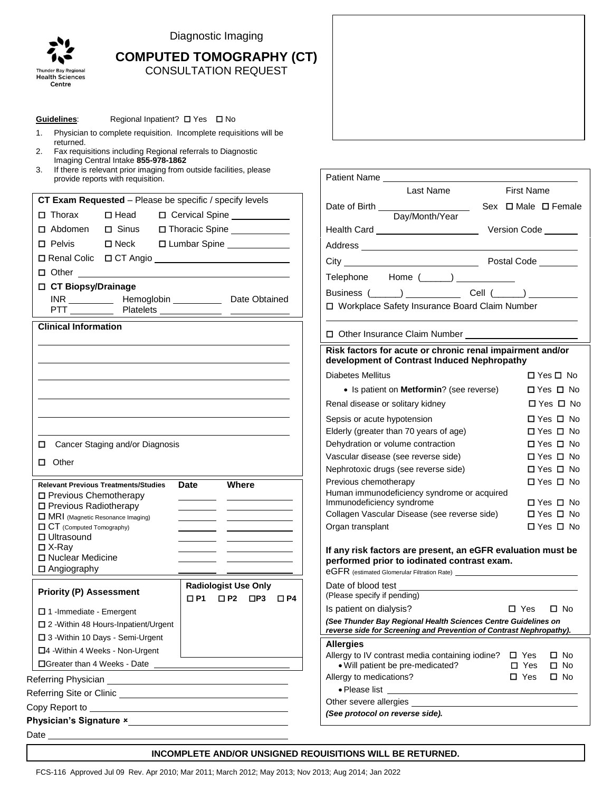

Guidelines: Regional Inpatient? □ Yes □ No

Diagnostic Imaging

# **COMPUTED TOMOGRAPHY (CT)** CONSULTATION REQUEST

| Physician to complete requisition. Incomplete requisitions will be<br>1.<br>returned.<br>Fax requisitions including Regional referrals to Diagnostic<br>2.<br>Imaging Central Intake 855-978-1862<br>If there is relevant prior imaging from outside facilities, please<br>3.<br>provide reports with requisition. |                                                                                                                                                                                                                                                                                     |  |  |
|--------------------------------------------------------------------------------------------------------------------------------------------------------------------------------------------------------------------------------------------------------------------------------------------------------------------|-------------------------------------------------------------------------------------------------------------------------------------------------------------------------------------------------------------------------------------------------------------------------------------|--|--|
| CT Exam Requested - Please be specific / specify levels<br>$\Box$ Thorax<br>$\square$ Head<br>D Cervical Spine ___________<br>$\Box$ Sinus<br>□ Thoracic Spine ___________<br>□ Abdomen<br>$\square$ Neck<br>□ Lumbar Spine ____________<br>□ Pelvis                                                               | <b>First Name</b><br>Last Name<br>Day/Month/Year                                                                                                                                                                                                                                    |  |  |
| □ CT Biopsy/Drainage<br><b>Clinical Information</b>                                                                                                                                                                                                                                                                | Telephone Home (______) ____________<br>□ Workplace Safety Insurance Board Claim Number                                                                                                                                                                                             |  |  |
|                                                                                                                                                                                                                                                                                                                    | Risk factors for acute or chronic renal impairment and/or<br>development of Contrast Induced Nephropathy<br><b>Diabetes Mellitus</b><br>$\Box$ Yes $\Box$ No                                                                                                                        |  |  |
|                                                                                                                                                                                                                                                                                                                    | • Is patient on Metformin? (see reverse)<br>$\Box$ Yes $\Box$ No<br>Renal disease or solitary kidney<br>$\Box$ Yes $\Box$ No<br>□ Yes □ No<br>Sepsis or acute hypotension<br>Elderly (greater than 70 years of age)<br>$\Box$ Yes $\Box$ No                                         |  |  |
| □ Cancer Staging and/or Diagnosis<br>$\Box$ Other                                                                                                                                                                                                                                                                  | Dehydration or volume contraction<br>$\Box$ Yes $\Box$ No<br>Vascular disease (see reverse side)<br>$\Box$ Yes $\Box$ No<br>Nephrotoxic drugs (see reverse side)<br>$\Box$ Yes $\Box$ No<br>□ Yes □ No<br>Previous chemotherapy                                                     |  |  |
| Where<br><b>Relevant Previous Treatments/Studies</b><br><b>Date</b><br>□ Previous Chemotherapy<br>□ Previous Radiotherapy<br>MRI (Magnetic Resonance Imaging)<br><b>O CT</b> (Computed Tomography)<br>□ Ultrasound<br>$\Box$ X-Ray                                                                                 | Human immunodeficiency syndrome or acquired<br>Immunodeficiency syndrome<br>$\Box$ Yes $\Box$ No<br>Collagen Vascular Disease (see reverse side)<br>$\Box$ Yes $\Box$ No<br>$\Box$ Yes $\Box$ No<br>Organ transplant<br>If any risk factors are present, an eGFR evaluation must be |  |  |
| □ Nuclear Medicine<br>$\Box$ Angiography<br><b>Radiologist Use Only</b>                                                                                                                                                                                                                                            | performed prior to iodinated contrast exam.<br>eGFR (estimated Glomerular Filtration Rate)<br>Date of blood test                                                                                                                                                                    |  |  |
| <b>Priority (P) Assessment</b><br>$\Box$ P1<br>$\Box$ P2 $\Box$ P3 $\Box$ P4<br>$\Box$ 1 - Immediate - Emergent<br>□ 2 - Within 48 Hours-Inpatient/Urgent                                                                                                                                                          | (Please specify if pending)<br>Is patient on dialysis?<br>$\square$ Yes<br>$\Box$ No<br>(See Thunder Bay Regional Health Sciences Centre Guidelines on<br>reverse side for Screening and Prevention of Contrast Nephropathy).                                                       |  |  |
| □ 3 - Within 10 Days - Semi-Urgent<br>$\Box$ 4 - Within 4 Weeks - Non-Urgent                                                                                                                                                                                                                                       | <b>Allergies</b><br>Allergy to IV contrast media containing iodine? $\Box$ Yes<br>$\square$ No<br>. Will patient be pre-medicated?<br>$\Box$ Yes<br>$\square$ No<br>Allergy to medications?<br>$\Box$ Yes<br>$\square$ No                                                           |  |  |
|                                                                                                                                                                                                                                                                                                                    | • Please list <u>experience</u><br>(See protocol on reverse side).                                                                                                                                                                                                                  |  |  |
|                                                                                                                                                                                                                                                                                                                    |                                                                                                                                                                                                                                                                                     |  |  |